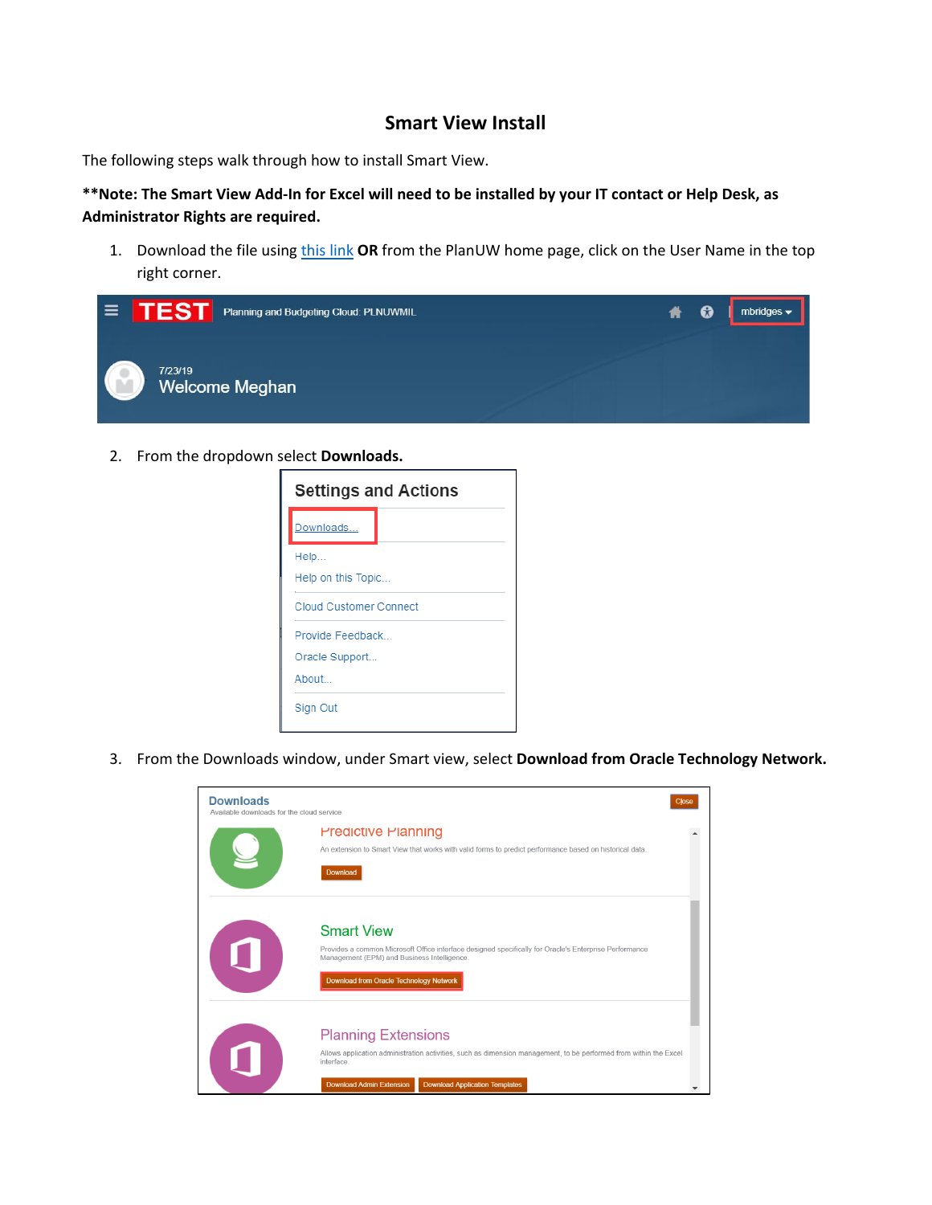## **Smart View Install**

The following steps walk through how to install Smart View.

## **\*\*Note: The Smart View Add-In for Excel will need to be installed by your IT contact or Help Desk, as Administrator Rights are required.**

1. Download the file using [this link](https://www.oracle.com/middleware/technologies/smart-view-for-office.html) **OR** from the PlanUW home page, click on the User Name in the top right corner.



2. From the dropdown select **Downloads.** 

| <b>Settings and Actions</b>   |  |  |  |
|-------------------------------|--|--|--|
| Downloads                     |  |  |  |
| Help                          |  |  |  |
| Help on this Topic            |  |  |  |
| <b>Cloud Customer Connect</b> |  |  |  |
| Provide Feedback              |  |  |  |
| Oracle Support                |  |  |  |
| About                         |  |  |  |
| Sign Out                      |  |  |  |

3. From the Downloads window, under Smart view, select **Download from Oracle Technology Network.** 

| <b>Downloads</b><br>Available downloads for the cloud service |                                                                                                                                                                                                                                          | Close |
|---------------------------------------------------------------|------------------------------------------------------------------------------------------------------------------------------------------------------------------------------------------------------------------------------------------|-------|
|                                                               | <b>Predictive Planning</b><br>An extension to Smart View that works with valid forms to predict performance based on historical data.<br>Download                                                                                        |       |
| $\mathbf{r}$                                                  | <b>Smart View</b><br>Provides a common Microsoft Office interface designed specifically for Oracle's Enterprise Performance<br>Management (EPM) and Business Intelligence.<br>Download from Oracle Technology Network                    |       |
| 4 N                                                           | <b>Planning Extensions</b><br>Allows application administration activities, such as dimension management, to be performed from within the Excel<br>interface<br><b>Download Admin Extension</b><br><b>Download Application Templates</b> |       |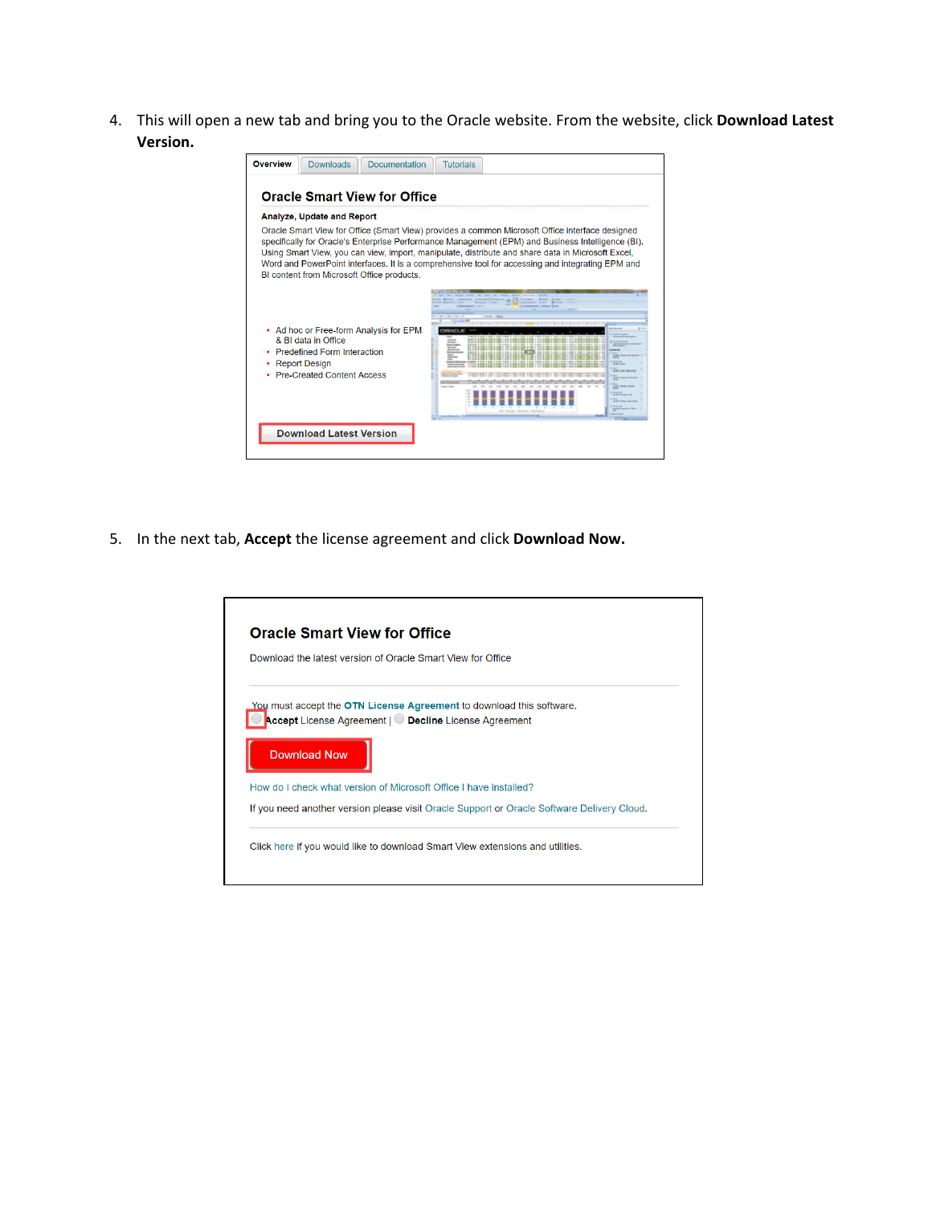4. This will open a new tab and bring you to the Oracle website. From the website, click **Download Latest Version.** 



5. In the next tab, **Accept** the license agreement and click **Download Now.** 

| Download the latest version of Oracle Smart View for Office                                                                                                         |
|---------------------------------------------------------------------------------------------------------------------------------------------------------------------|
| <u>You</u> must accept the <b>OTN License Agreement</b> to download this software.<br>Accept License Agreement   C Decline License Agreement<br><b>Download Now</b> |
| How do I check what version of Microsoft Office I have installed?                                                                                                   |
| If you need another version please visit Oracle Support or Oracle Software Delivery Cloud.                                                                          |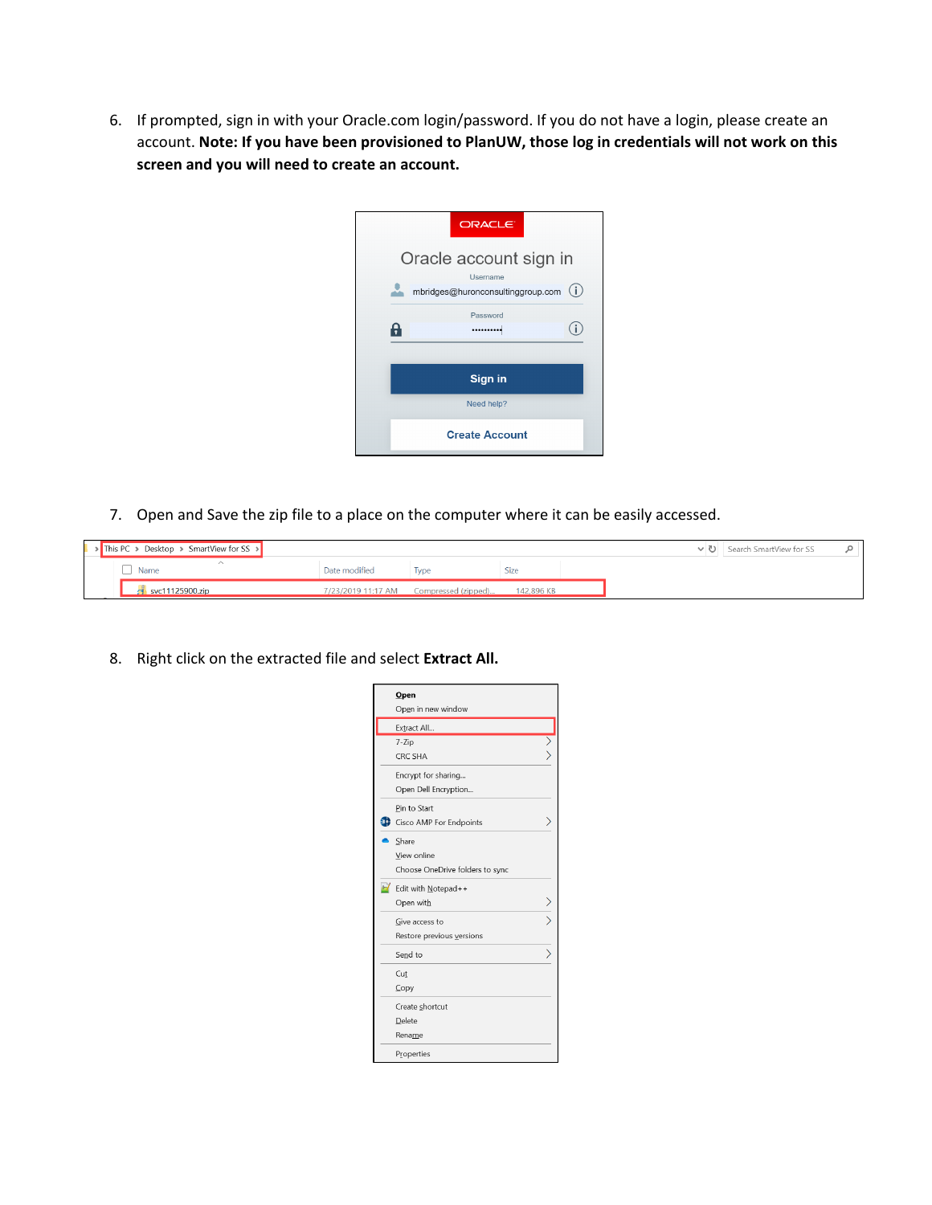6. If prompted, sign in with your Oracle.com login/password. If you do not have a login, please create an account. **Note: If you have been provisioned to PlanUW, those log in credentials will not work on this screen and you will need to create an account.** 

| ORACLE <sup>®</sup>                                                            |
|--------------------------------------------------------------------------------|
| Oracle account sign in<br>Username<br>(i)<br>mbridges@huronconsultinggroup.com |
| Password<br>                                                                   |
| Sign in                                                                        |
| Need help?<br><b>Create Account</b>                                            |

7. Open and Save the zip file to a place on the computer where it can be easily accessed.

|  | $\blacktriangleright$ This PC $\blacktriangleright$ Desktop $\blacktriangleright$ SmartView for SS $\blacktriangleright$ |               |                                        |            |  | ↓ ひ   Search SmartView for SS |  |
|--|--------------------------------------------------------------------------------------------------------------------------|---------------|----------------------------------------|------------|--|-------------------------------|--|
|  | Name                                                                                                                     | Date modified | <b>I</b> vpe                           | Size       |  |                               |  |
|  | $\sim$ svc11125900.zip                                                                                                   |               | 7/23/2019 11:17 AM Compressed (zipped) | 142.896 KB |  |                               |  |

8. Right click on the extracted file and select **Extract All.** 

| $Q$ pen<br>Open in new window   |  |
|---------------------------------|--|
| Extract All                     |  |
| $7 - Zip$                       |  |
| CRC SHA                         |  |
| Encrypt for sharing             |  |
| Open Dell Encryption            |  |
| Pin to Start                    |  |
| Cisco AMP For Endpoints         |  |
| Share                           |  |
| View online                     |  |
| Choose OneDrive folders to sync |  |
| Edit with Notepad++             |  |
| Open with                       |  |
| Give access to                  |  |
| Restore previous versions       |  |
| Send to                         |  |
| Cut                             |  |
| Copy                            |  |
| Create shortcut                 |  |
| Delete                          |  |
| Rename                          |  |
| Properties                      |  |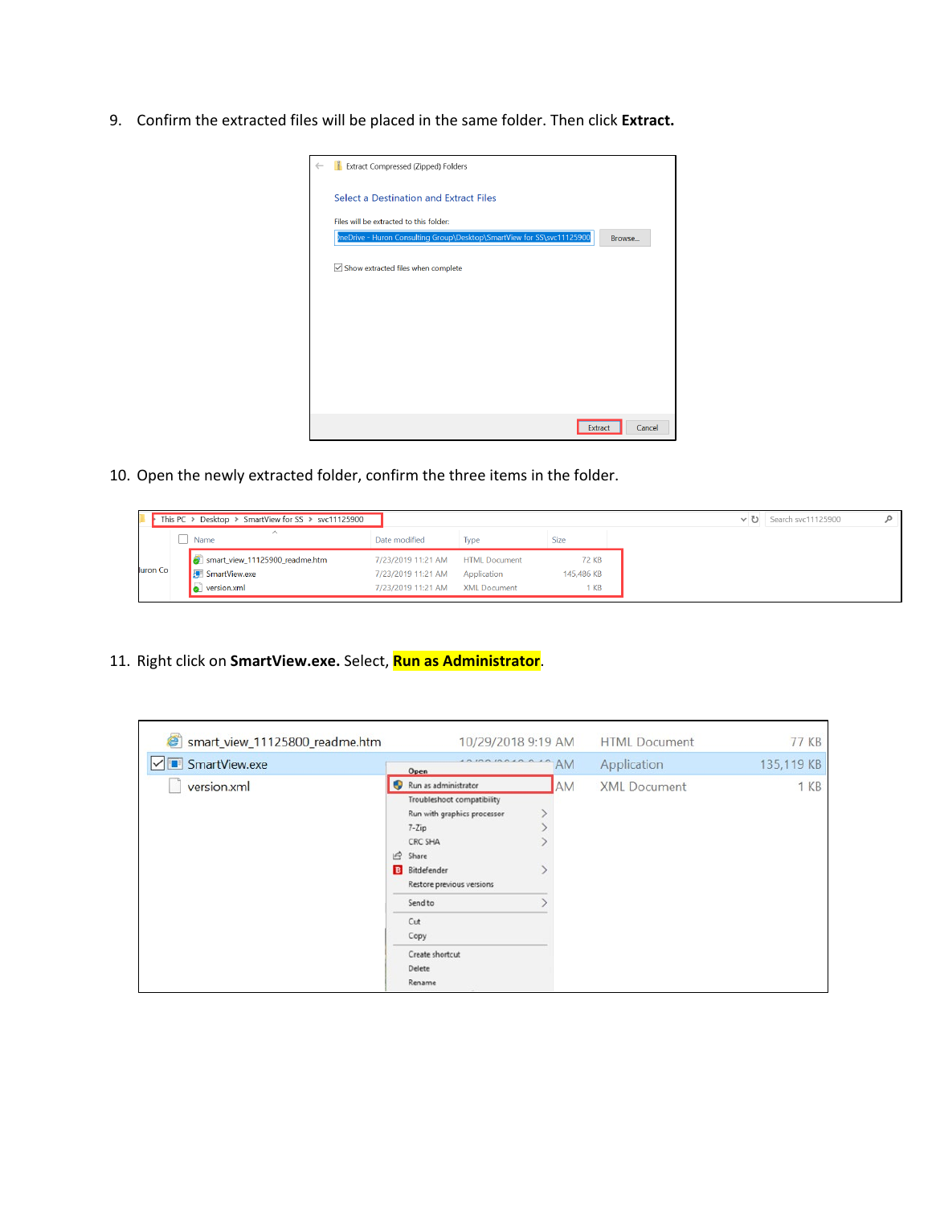9. Confirm the extracted files will be placed in the same folder. Then click **Extract.** 



10. Open the newly extracted folder, confirm the three items in the folder.

|                 | This PC > Desktop > SmartView for SS > svc11125900 |                                  |              |             |
|-----------------|----------------------------------------------------|----------------------------------|--------------|-------------|
|                 | $\wedge$<br>Name                                   | Date modified                    | <b>I</b> vpe | <b>Size</b> |
|                 | smart_view_11125900_readme.htm                     | 7/23/2019 11:21 AM HTML Document |              | 72 KB       |
| <b>Luron</b> Co | SmartView.exe                                      | 7/23/2019 11:21 AM Application   |              | 145,486 KB  |
|                 | version.xml                                        | 7/23/2019 11:21 AM XML Document  |              | 1 KB        |

11. Right click on **SmartView.exe.** Select, **Run as Administrator**.

| Smart_view_11125800_readme.htm       | 10/29/2018 9:19 AM                                                                                                                                                                                                                                        |    | <b>HTML</b> Document | <b>77 KB</b> |
|--------------------------------------|-----------------------------------------------------------------------------------------------------------------------------------------------------------------------------------------------------------------------------------------------------------|----|----------------------|--------------|
| <b>F</b> SmartView.exe<br>$\backsim$ | AMAINALAA<br>Open                                                                                                                                                                                                                                         | AM | Application          | 135,119 KB   |
| version.xml                          | Run as administrator<br>Φ<br>Troubleshoot compatibility<br>Run with graphics processor<br>$7 - Zip$<br><b>CRC SHA</b><br>岭<br>Share<br><b>B</b> Bitdefender<br>Restore previous versions<br>Send to<br>Cut<br>Copy<br>Create shortcut<br>Delete<br>Rename | AM | <b>XML</b> Document  | 1 KB         |